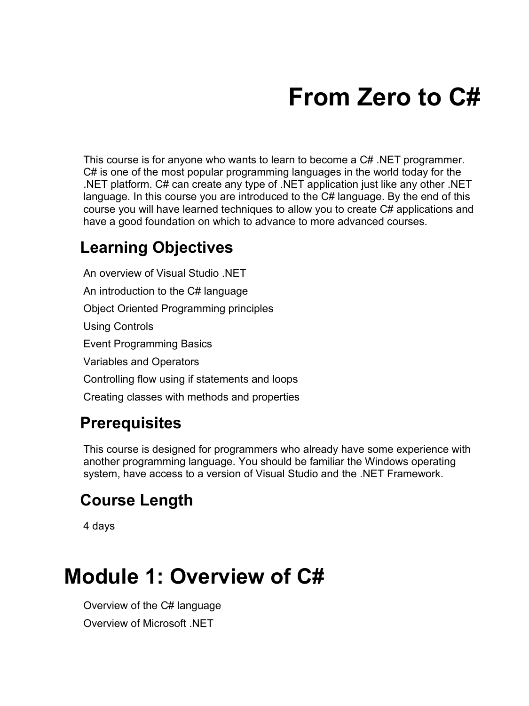# **From Zero to C#**

This course is for anyone who wants to learn to become a C# .NET programmer. C# is one of the most popular programming languages in the world today for the .NET platform. C# can create any type of .NET application just like any other .NET language. In this course you are introduced to the C# language. By the end of this course you will have learned techniques to allow you to create C# applications and have a good foundation on which to advance to more advanced courses.

#### **Learning Objectives**

An overview of Visual Studio .NET An introduction to the C# language Object Oriented Programming principles Using Controls Event Programming Basics Variables and Operators Controlling flow using if statements and loops Creating classes with methods and properties

#### **Prerequisites**

This course is designed for programmers who already have some experience with another programming language. You should be familiar the Windows operating system, have access to a version of Visual Studio and the .NET Framework.

#### **Course Length**

4 days

#### **Module 1: Overview of C#**

Overview of the C# language Overview of Microsoft .NET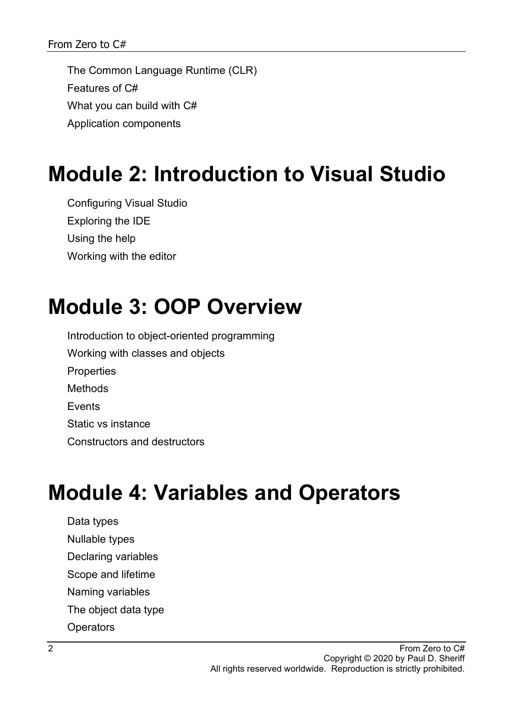The Common Language Runtime (CLR) Features of C# What you can build with C# Application components

#### **Module 2: Introduction to Visual Studio**

Configuring Visual Studio Exploring the IDE Using the help Working with the editor

#### **Module 3: OOP Overview**

Introduction to object-oriented programming Working with classes and objects **Properties** Methods **F**vents Static vs instance Constructors and destructors

## **Module 4: Variables and Operators**

Data types Nullable types Declaring variables Scope and lifetime Naming variables The object data type **Operators**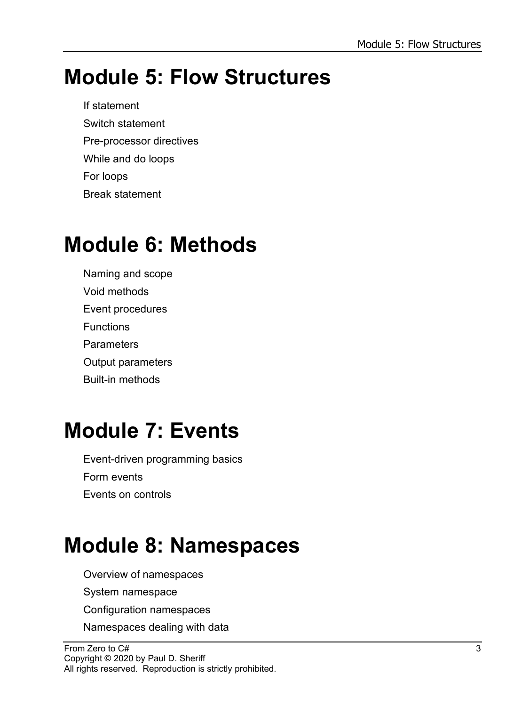### **Module 5: Flow Structures**

If statement Switch statement Pre-processor directives While and do loops For loops Break statement

## **Module 6: Methods**

Naming and scope Void methods Event procedures **Functions Parameters** Output parameters Built-in methods

### **Module 7: Events**

Event-driven programming basics Form events Events on controls

## **Module 8: Namespaces**

- Overview of namespaces
- System namespace
- Configuration namespaces
- Namespaces dealing with data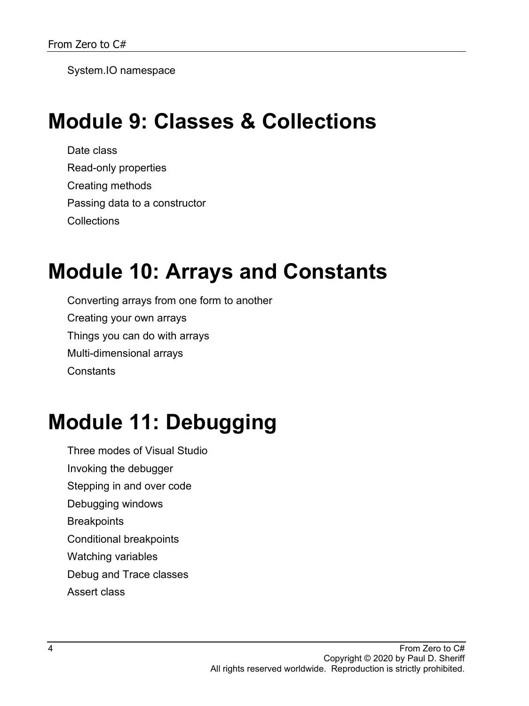System.IO namespace

#### **Module 9: Classes & Collections**

Date class Read-only properties Creating methods Passing data to a constructor **Collections** 

#### **Module 10: Arrays and Constants**

Converting arrays from one form to another Creating your own arrays Things you can do with arrays Multi-dimensional arrays **Constants** 

## **Module 11: Debugging**

- Three modes of Visual Studio Invoking the debugger
- Stepping in and over code
- Debugging windows
- **Breakpoints**
- Conditional breakpoints
- Watching variables
- Debug and Trace classes
- Assert class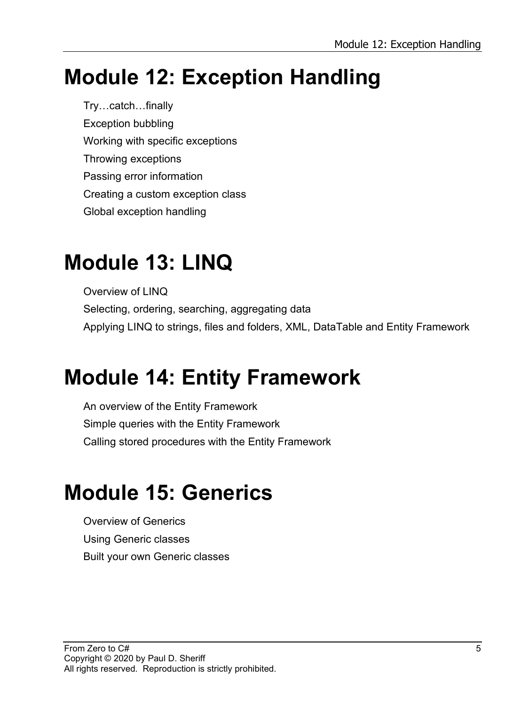## **Module 12: Exception Handling**

Try…catch…finally Exception bubbling Working with specific exceptions Throwing exceptions Passing error information Creating a custom exception class Global exception handling

### **Module 13: LINQ**

Overview of LINQ Selecting, ordering, searching, aggregating data Applying LINQ to strings, files and folders, XML, DataTable and Entity Framework

### **Module 14: Entity Framework**

An overview of the Entity Framework Simple queries with the Entity Framework Calling stored procedures with the Entity Framework

## **Module 15: Generics**

Overview of Generics Using Generic classes Built your own Generic classes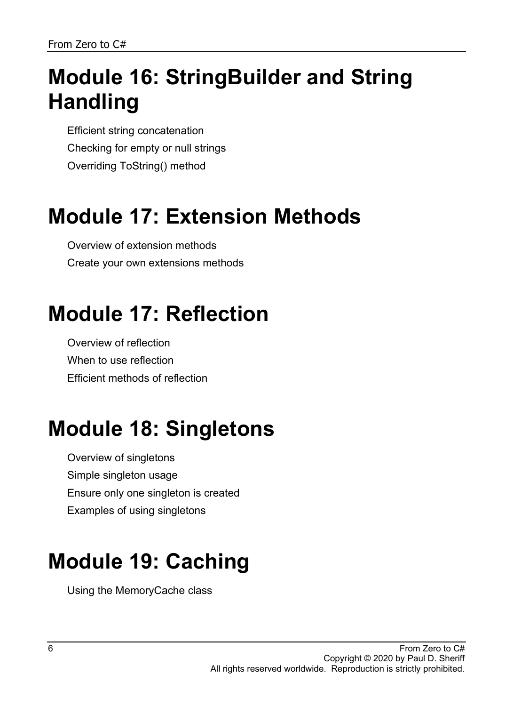## **Module 16: StringBuilder and String Handling**

Efficient string concatenation Checking for empty or null strings Overriding ToString() method

## **Module 17: Extension Methods**

Overview of extension methods Create your own extensions methods

## **Module 17: Reflection**

Overview of reflection When to use reflection Efficient methods of reflection

## **Module 18: Singletons**

Overview of singletons Simple singleton usage Ensure only one singleton is created Examples of using singletons

## **Module 19: Caching**

Using the MemoryCache class